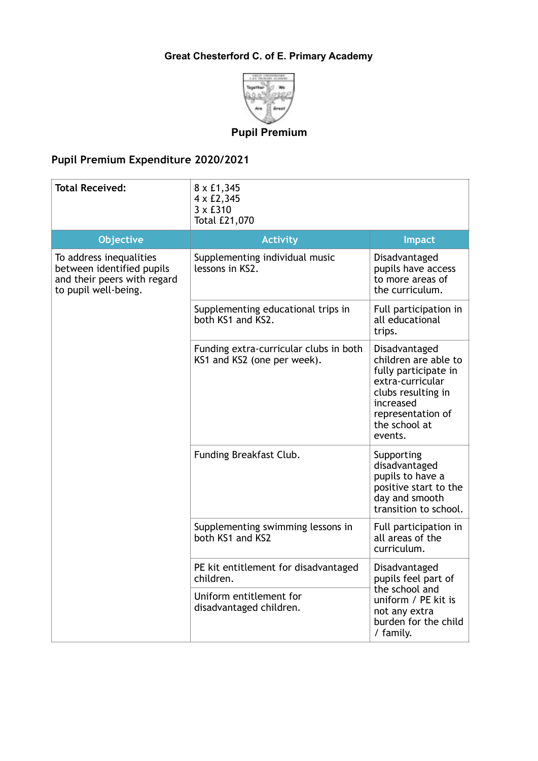## **Great Chesterford C. of E. Primary Academy**



## **Pupil Premium**

## **Pupil Premium Expenditure 2020/2021**

| <b>Total Received:</b>                                                                                      | 8 x £1,345<br>4 x £2,345<br>$3 \times £310$<br>Total £21,070          |                                                                                                                                                                       |
|-------------------------------------------------------------------------------------------------------------|-----------------------------------------------------------------------|-----------------------------------------------------------------------------------------------------------------------------------------------------------------------|
| <b>Objective</b>                                                                                            | <b>Activity</b>                                                       | <b>Impact</b>                                                                                                                                                         |
| To address inequalities<br>between identified pupils<br>and their peers with regard<br>to pupil well-being. | Supplementing individual music<br>lessons in KS2.                     | Disadvantaged<br>pupils have access<br>to more areas of<br>the curriculum.                                                                                            |
|                                                                                                             | Supplementing educational trips in<br>both KS1 and KS2.               | Full participation in<br>all educational<br>trips.                                                                                                                    |
|                                                                                                             | Funding extra-curricular clubs in both<br>KS1 and KS2 (one per week). | Disadvantaged<br>children are able to<br>fully participate in<br>extra-curricular<br>clubs resulting in<br>increased<br>representation of<br>the school at<br>events. |
|                                                                                                             | Funding Breakfast Club.                                               | Supporting<br>disadvantaged<br>pupils to have a<br>positive start to the<br>day and smooth<br>transition to school.                                                   |
|                                                                                                             | Supplementing swimming lessons in<br>both KS1 and KS2                 | Full participation in<br>all areas of the<br>curriculum.                                                                                                              |
|                                                                                                             | PE kit entitlement for disadvantaged<br>children.                     | Disadvantaged<br>pupils feel part of<br>the school and<br>uniform / PE kit is<br>not any extra<br>burden for the child<br>/ family.                                   |
|                                                                                                             | Uniform entitlement for<br>disadvantaged children.                    |                                                                                                                                                                       |